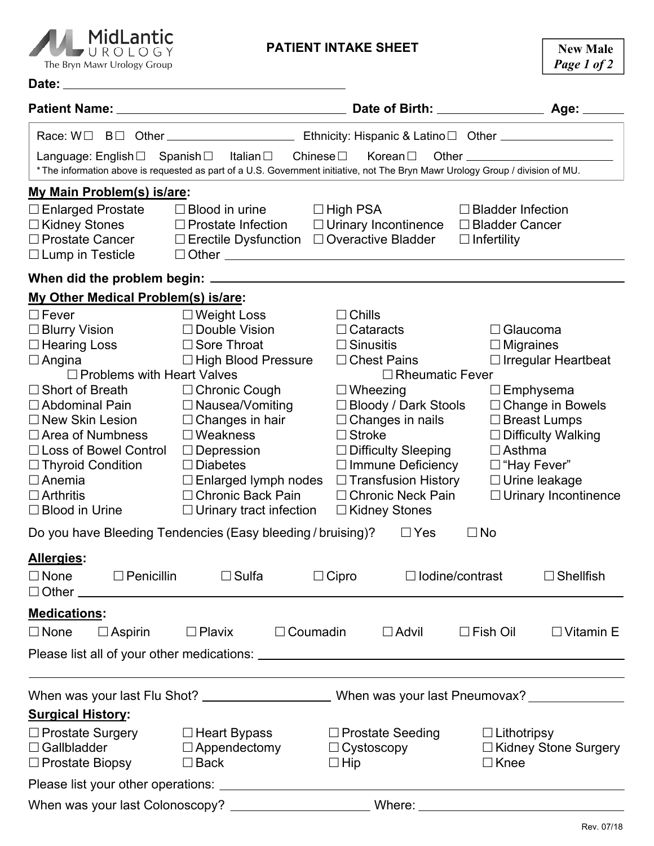

## **PATIENT INTAKE SHEET**

| Date:                                                   | <u> 1980 - Jan Sterling Sterling, statistik fotograf i statistik fotograf i statistik fotograf i statistik fotogr</u> |                                                                                                                                 |                                             |  |
|---------------------------------------------------------|-----------------------------------------------------------------------------------------------------------------------|---------------------------------------------------------------------------------------------------------------------------------|---------------------------------------------|--|
|                                                         |                                                                                                                       |                                                                                                                                 |                                             |  |
|                                                         |                                                                                                                       |                                                                                                                                 |                                             |  |
|                                                         | Language: English□ Spanish□ Italian□ Chinese□ Korean□                                                                 |                                                                                                                                 |                                             |  |
|                                                         |                                                                                                                       | * The information above is requested as part of a U.S. Government initiative, not The Bryn Mawr Urology Group / division of MU. |                                             |  |
| My Main Problem(s) is/are:                              |                                                                                                                       |                                                                                                                                 |                                             |  |
| $\Box$ Enlarged Prostate                                | $\square$ Blood in urine $\square$ High PSA                                                                           |                                                                                                                                 | $\Box$ Bladder Infection                    |  |
| □ Kidney Stones                                         | $\Box$ Prostate Infection $\Box$ Urinary Incontinence                                                                 |                                                                                                                                 | □ Bladder Cancer                            |  |
| □ Prostate Cancer                                       | □ Erectile Dysfunction □ Overactive Bladder                                                                           |                                                                                                                                 | $\Box$ Infertility                          |  |
| $\Box$ Lump in Testicle                                 |                                                                                                                       |                                                                                                                                 |                                             |  |
|                                                         |                                                                                                                       |                                                                                                                                 |                                             |  |
| My Other Medical Problem(s) is/are:                     |                                                                                                                       |                                                                                                                                 |                                             |  |
| $\square$ Fever                                         | $\Box$ Weight Loss                                                                                                    | $\Box$ Chills                                                                                                                   |                                             |  |
| $\Box$ Blurry Vision                                    | $\Box$ Double Vision                                                                                                  | $\Box$ Cataracts                                                                                                                | $\Box$ Glaucoma                             |  |
| $\Box$ Hearing Loss                                     | □ Sore Throat                                                                                                         | $\Box$ Sinusitis                                                                                                                | $\Box$ Migraines                            |  |
| $\Box$ Angina                                           | $\Box$ High Blood Pressure                                                                                            | $\Box$ Chest Pains                                                                                                              | $\Box$ Irregular Heartbeat                  |  |
| $\Box$ Problems with Heart Valves                       |                                                                                                                       | $\Box$ Rheumatic Fever                                                                                                          |                                             |  |
| $\Box$ Short of Breath<br>$\Box$ Abdominal Pain         | $\Box$ Chronic Cough<br>$\Box$ Nausea/Vomiting                                                                        | $\Box$ Wheezing<br>□ Bloody / Dark Stools                                                                                       | $\Box$ Emphysema<br>$\Box$ Change in Bowels |  |
| $\Box$ New Skin Lesion                                  | $\Box$ Changes in hair                                                                                                | $\Box$ Changes in nails                                                                                                         | $\Box$ Breast Lumps                         |  |
| $\Box$ Area of Numbness                                 | $\Box$ Weakness                                                                                                       | $\Box$ Stroke                                                                                                                   | $\Box$ Difficulty Walking                   |  |
| $\Box$ Loss of Bowel Control                            | $\Box$ Depression                                                                                                     | □ Difficulty Sleeping                                                                                                           | $\Box$ Asthma                               |  |
| $\Box$ Thyroid Condition                                | $\Box$ Diabetes                                                                                                       | $\Box$ Immune Deficiency                                                                                                        | □ "Hay Fever"                               |  |
| $\Box$ Anemia                                           | $\Box$ Enlarged lymph nodes $\Box$ Transfusion History                                                                |                                                                                                                                 | $\Box$ Urine leakage                        |  |
| $\Box$ Arthritis                                        | □ Chronic Back Pain                                                                                                   | □ Chronic Neck Pain                                                                                                             | $\Box$ Urinary Incontinence                 |  |
| $\Box$ Blood in Urine                                   | $\Box$ Urinary tract infection                                                                                        | $\Box$ Kidney Stones                                                                                                            |                                             |  |
|                                                         | Do you have Bleeding Tendencies (Easy bleeding / bruising)?                                                           | $\Box$ Yes<br>$\Box$ No                                                                                                         |                                             |  |
| Allergies:                                              |                                                                                                                       |                                                                                                                                 |                                             |  |
| $\Box$ None                                             | $\Box$ Penicillin $\Box$ Sulfa                                                                                        | $\Box$ Cipro<br>$\Box$ Iodine/contrast                                                                                          | $\Box$ Shellfish                            |  |
|                                                         |                                                                                                                       |                                                                                                                                 |                                             |  |
| <b>Medications:</b>                                     |                                                                                                                       |                                                                                                                                 |                                             |  |
| $\Box$ None<br>$\Box$ Aspirin                           | $\Box$ Plavix $\Box$ Coumadin                                                                                         | $\square$ Advil                                                                                                                 | $\Box$ Fish Oil<br>$\Box$ Vitamin E         |  |
|                                                         |                                                                                                                       |                                                                                                                                 |                                             |  |
|                                                         |                                                                                                                       |                                                                                                                                 |                                             |  |
|                                                         |                                                                                                                       | When was your last Flu Shot? ___________________________When was your last Pneumovax? ______________                            |                                             |  |
| <b>Surgical History:</b>                                |                                                                                                                       |                                                                                                                                 |                                             |  |
|                                                         |                                                                                                                       |                                                                                                                                 |                                             |  |
| □ Prostate Surgery □ Heart Bypass<br>$\Box$ Gallbladder | $\square$ Appendectomy                                                                                                | $\Box$ Prostate Seeding $\Box$ Lithotripsy<br>$\Box$ Cystoscopy                                                                 | □ Kidney Stone Surgery                      |  |
| $\Box$ Prostate Biopsy                                  | $\square$ Back                                                                                                        | $\Box$ Hip                                                                                                                      | $\Box$ Knee                                 |  |
|                                                         |                                                                                                                       |                                                                                                                                 |                                             |  |
|                                                         |                                                                                                                       |                                                                                                                                 |                                             |  |
|                                                         |                                                                                                                       |                                                                                                                                 |                                             |  |